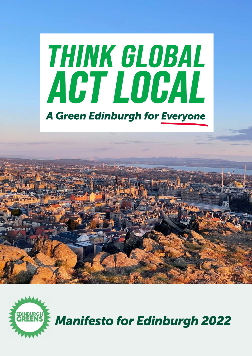# THINK GLOBAL ACT LOCAL **A Green Edinburgh for Everyone**





*Manifesto for Edinburgh 2022*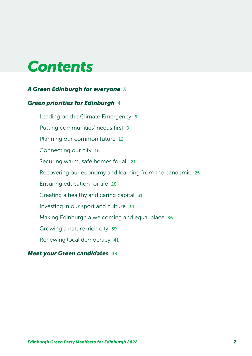## *Contents*

### *[A Green Edinburgh for everyone](#page-2-0)* 3

### *[Green priorities for Edinburgh](#page-3-0)* 4

[Leading on the Climate Emergency](#page-5-0) 6 [Putting communities' needs first](#page-8-0) 9 [Planning our common future](#page-11-0) 12 [Connecting our city](#page-15-0) 16 [Securing warm, safe homes for all](#page-20-0) 21 [Recovering our economy and learning from the pandemic](#page-24-0) 25 [Ensuring education for life](#page-27-0) 28 [Creating a healthy and caring capital](#page-30-0) 31 [Investing in our sport and culture](#page-33-0) 34 [Making Edinburgh a welcoming and equal place](#page-35-0) 36 [Growing a nature-rich city](#page-38-0) 39 [Renewing local democracy](#page-40-0) 41

### *[Meet your Green candidates](#page-42-0)* 43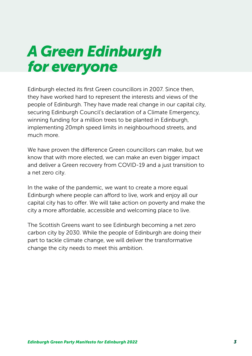## <span id="page-2-0"></span>*A Green Edinburgh for everyone*

Edinburgh elected its first Green councillors in 2007. Since then, they have worked hard to represent the interests and views of the people of Edinburgh. They have made real change in our capital city, securing Edinburgh Council's declaration of a Climate Emergency, winning funding for a million trees to be planted in Edinburgh, implementing 20mph speed limits in neighbourhood streets, and much more.

We have proven the difference Green councillors can make, but we know that with more elected, we can make an even bigger impact and deliver a Green recovery from COVID-19 and a just transition to a net zero city.

In the wake of the pandemic, we want to create a more equal Edinburgh where people can afford to live, work and enjoy all our capital city has to offer. We will take action on poverty and make the city a more affordable, accessible and welcoming place to live.

The Scottish Greens want to see Edinburgh becoming a net zero carbon city by 2030. While the people of Edinburgh are doing their part to tackle climate change, we will deliver the transformative change the city needs to meet this ambition.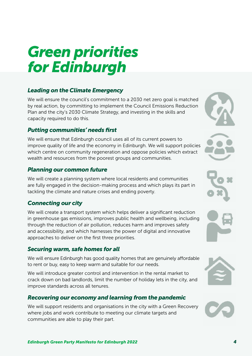## <span id="page-3-0"></span>*Green priorities for Edinburgh*

### *[Leading on the Climate Emergency](#page-5-1)*

We will ensure the council's commitment to a 2030 net zero goal is matched by real action, by committing to implement the Council Emissions Reduction Plan and the city's 2030 Climate Strategy, and investing in the skills and capacity required to do this.

### *[Putting communities' needs first](#page-8-1)*

We will ensure that Edinburgh council uses all of its current powers to improve quality of life and the economy in Edinburgh. We will support policies which centre on community regeneration and oppose policies which extract wealth and resources from the poorest groups and communities.

### *[Planning our common future](#page-11-1)*

We will create a planning system where local residents and communities are fully engaged in the decision-making process and which plays its part in tackling the climate and nature crises and ending poverty.

### *[Connecting our city](#page-15-1)*

We will create a transport system which helps deliver a significant reduction in greenhouse gas emissions, improves public health and wellbeing, including through the reduction of air pollution, reduces harm and improves safety and accessibility, and which harnesses the power of digital and innovative approaches to deliver on the first three priorities.

### *[Securing warm, safe homes for all](#page-20-1)*

We will ensure Edinburgh has good quality homes that are genuinely affordable to rent or buy, easy to keep warm and suitable for our needs.

We will introduce greater control and intervention in the rental market to crack down on bad landlords, limit the number of holiday lets in the city, and improve standards across all tenures.

### *[Recovering our economy and learning from the pandemic](#page-24-1)*

We will support residents and organisations in the city with a Green Recovery where jobs and work contribute to meeting our climate targets and communities are able to play their part.







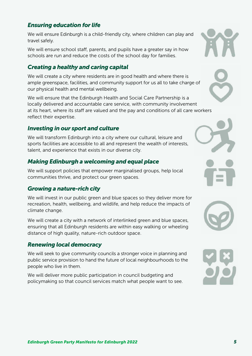### *[Ensuring education for life](#page-27-1)*

We will ensure Edinburgh is a child-friendly city, where children can play and travel safely.

We will ensure school staff, parents, and pupils have a greater say in how schools are run and reduce the costs of the school day for families.

### *[Creating a healthy and caring capital](#page-30-1)*

We will create a city where residents are in good health and where there is ample greenspace, facilities, and community support for us all to take charge of our physical health and mental wellbeing.

We will ensure that the Edinburgh Health and Social Care Partnership is a locally delivered and accountable care service, with community involvement at its heart, where its staff are valued and the pay and conditions of all care workers reflect their expertise.

#### *[Investing in our sport and culture](#page-33-1)*

We will transform Edinburgh into a city where our cultural, leisure and sports facilities are accessible to all and represent the wealth of interests, talent, and experience that exists in our diverse city.

#### *[Making Edinburgh a welcoming and equal place](#page-35-1)*

We will support policies that empower marginalised groups, help local communities thrive, and protect our green spaces.

#### *[Growing a nature-rich city](#page-38-1)*

We will invest in our public green and blue spaces so they deliver more for recreation, health, wellbeing, and wildlife, and help reduce the impacts of climate change.

We will create a city with a network of interlinked green and blue spaces, ensuring that all Edinburgh residents are within easy walking or wheeling distance of high quality, nature-rich outdoor space.

#### *[Renewing local democracy](#page-40-1)*

We will seek to give community councils a stronger voice in planning and public service provision to hand the future of local neighbourhoods to the people who live in them.

We will deliver more public participation in council budgeting and policymaking so that council services match what people want to see.









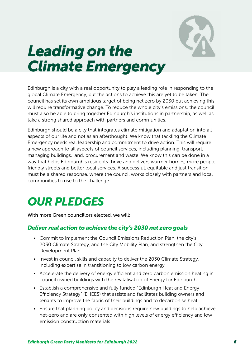

## <span id="page-5-1"></span><span id="page-5-0"></span>*Leading on the Climate Emergency*

Edinburgh is a city with a real opportunity to play a leading role in responding to the global Climate Emergency, but the actions to achieve this are yet to be taken. The council has set its own ambitious target of being net zero by 2030 but achieving this will require transformative change. To reduce the whole city's emissions, the council must also be able to bring together Edinburgh's institutions in partnership, as well as take a strong shared approach with partners and communities.

Edinburgh should be a city that integrates climate mitigation and adaptation into all aspects of our life and not as an afterthought. We know that tackling the Climate Emergency needs real leadership and commitment to drive action. This will require a new approach to all aspects of council services, including planning, transport, managing buildings, land, procurement and waste. We know this can be done in a way that helps Edinburgh's residents thrive and delivers warmer homes, more peoplefriendly streets and better local services. A successful, equitable and just transition must be a shared response, where the council works closely with partners and local communities to rise to the challenge.

### *OUR PLEDGES*

With more Green councillors elected, we will:

### *Deliver real action to achieve the city's 2030 net zero goals*

- Commit to implement the Council Emissions Reduction Plan, the city's 2030 Climate Strategy, and the City Mobility Plan, and strengthen the City Development Plan
- Invest in council skills and capacity to deliver the 2030 Climate Strategy, including expertise in transitioning to low carbon energy
- Accelerate the delivery of energy efficient and zero carbon emission heating in council owned buildings with the revitalisation of Energy for Edinburgh
- Establish a comprehensive and fully funded "Edinburgh Heat and Energy Efficiency Strategy" (EHEES) that assists and facilitates building owners and tenants to improve the fabric of their buildings and to decarbonise heat
- Ensure that planning policy and decisions require new buildings to help achieve net-zero and are only consented with high levels of energy efficiency and low emission construction materials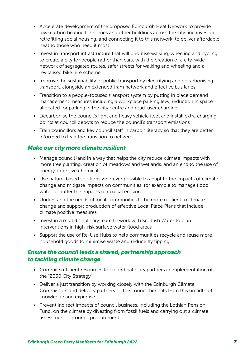- Accelerate development of the proposed Edinburgh Heat Network to provide low-carbon heating for homes and other buildings across the city and invest in retrofitting social housing, and connecting it to this network, to deliver affordable heat to those who need it most
- Invest in transport infrastructure that will prioritise walking, wheeling and cycling to create a city for people rather than cars, with the creation of a city-wide network of segregated routes, safer streets for walking and wheeling and a revitalised bike hire scheme
- Improve the sustainability of public transport by electrifying and decarbonising transport, alongside an extended tram network and effective bus lanes
- Transition to a people-focused transport system by putting in place demand management measures including a workplace parking levy, reduction in space allocated for parking in the city centre and road-user charging
- Decarbonise the council's light and heavy vehicle fleet and install extra charging points at council depots to reduce the council's transport emissions
- Train councillors and key council staff in carbon literacy so that they are better informed to lead the transition to net zero

### *Make our city more climate resilient*

- Manage council land in a way that helps the city reduce climate impacts with more tree planting, creation of meadows and wetlands, and an end to the use of energy-intensive chemicals
- Use nature-based solutions wherever possible to adapt to the impacts of climate change and mitigate impacts on communities, for example to manage flood water or buffer the impacts of coastal erosion
- Understand the needs of local communities to be more resilient to climate change and support production of effective Local Place Plans that include climate positive measures
- Invest in a multidisciplinary team to work with Scottish Water to plan interventions in high-risk surface water flood areas
- Support the use of Re-Use Hubs to help communities recycle and reuse more household goods to minimise waste and reduce fly tipping

### *Ensure the council leads a shared, partnership approach to tackling climate change*

- Commit sufficient resources to co-ordinate city partners in implementation of the "2030 City Strategy"
- Deliver a just transition by working closely with the Edinburgh Climate Commission and delivery partners so the council benefits from this breadth of knowledge and expertise
- Prevent indirect impacts of council business, including the Lothian Pension Fund, on the climate by divesting from fossil fuels and carrying out a climate assessment of council procurement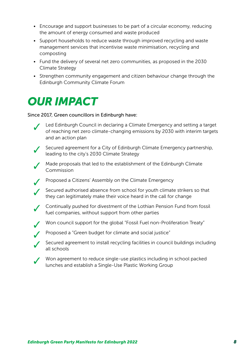- Encourage and support businesses to be part of a circular economy, reducing the amount of energy consumed and waste produced
- Support households to reduce waste through improved recycling and waste management services that incentivise waste minimisation, recycling and composting
- Fund the delivery of several net zero communities, as proposed in the 2030 Climate Strategy
- Strengthen community engagement and citizen behaviour change through the Edinburgh Community Climate Forum

### *OUR IMPACT*

Since 2017, Green councillors in Edinburgh have:

- Led Edinburgh Council in declaring a Climate Emergency and setting a target of reaching net zero climate-changing emissions by 2030 with interim targets and an action plan
- 

Secured agreement for a City of Edinburgh Climate Emergency partnership, leading to the city's 2030 Climate Strategy

- Made proposals that led to the establishment of the Edinburgh Climate Commission
- ✓ Proposed a Citizens' Assembly on the Climate Emergency
- Secured authorised absence from school for youth climate strikers so that they can legitimately make their voice heard in the call for change
- ✓ Continually pushed for divestment of the Lothian Pension Fund from fossil fuel companies, without support from other parties
	- Won council support for the global "Fossil Fuel non-Proliferation Treaty"
		- Proposed a "Green budget for climate and social justice"
	- Secured agreement to install recycling facilities in council buildings including all schools
	- Won agreement to reduce single-use plastics including in school packed lunches and establish a Single-Use Plastic Working Group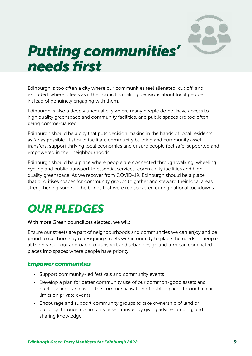

## <span id="page-8-1"></span><span id="page-8-0"></span>*Putting communities' needs first*

Edinburgh is too often a city where our communities feel alienated, cut off, and excluded, where it feels as if the council is making decisions about local people instead of genuinely engaging with them.

Edinburgh is also a deeply unequal city where many people do not have access to high quality greenspace and community facilities, and public spaces are too often being commercialised.

Edinburgh should be a city that puts decision making in the hands of local residents as far as possible. It should facilitate community building and community asset transfers, support thriving local economies and ensure people feel safe, supported and empowered in their neighbourhoods.

Edinburgh should be a place where people are connected through walking, wheeling, cycling and public transport to essential services, community facilities and high quality greenspace. As we recover from COVID-19, Edinburgh should be a place that prioritises spaces for community groups to gather and steward their local areas, strengthening some of the bonds that were rediscovered during national lockdowns.

### *OUR PLEDGES*

#### With more Green councillors elected, we will:

Ensure our streets are part of neighbourhoods and communities we can enjoy and be proud to call home by redesigning streets within our city to place the needs of people at the heart of our approach to transport and urban design and turn car-dominated places into spaces where people have priority

#### *Empower communities*

- Support community-led festivals and community events
- Develop a plan for better community use of our common-good assets and public spaces, and avoid the commercialisation of public spaces through clear limits on private events
- Encourage and support community groups to take ownership of land or buildings through community asset transfer by giving advice, funding, and sharing knowledge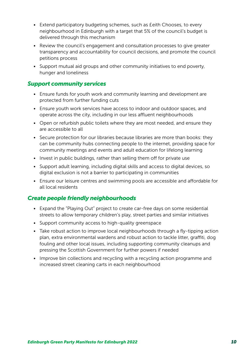- Extend participatory budgeting schemes, such as £eith Chooses, to every neighbourhood in Edinburgh with a target that 5% of the council's budget is delivered through this mechanism
- Review the council's engagement and consultation processes to give greater transparency and accountability for council decisions, and promote the council petitions process
- Support mutual aid groups and other community initiatives to end poverty, hunger and loneliness

### *Support community services*

- Ensure funds for youth work and community learning and development are protected from further funding cuts
- Ensure youth work services have access to indoor and outdoor spaces, and operate across the city, including in our less affluent neighbourhoods
- Open or refurbish public toilets where they are most needed, and ensure they are accessible to all
- Secure protection for our libraries because libraries are more than books: they can be community hubs connecting people to the internet, providing space for community meetings and events and adult education for lifelong learning
- Invest in public buildings, rather than selling them off for private use
- Support adult learning, including digital skills and access to digital devices, so digital exclusion is not a barrier to participating in communities
- Ensure our leisure centres and swimming pools are accessible and affordable for all local residents

### *Create people friendly neighbourhoods*

- Expand the "Playing Out" project to create car-free days on some residential streets to allow temporary children's play, street parties and similar initiatives
- Support community access to high-quality greenspace
- Take robust action to improve local neighbourhoods through a fly-tipping action plan, extra environmental wardens and robust action to tackle litter, graffiti, dog fouling and other local issues, including supporting community cleanups and pressing the Scottish Government for further powers if needed
- Improve bin collections and recycling with a recycling action programme and increased street cleaning carts in each neighbourhood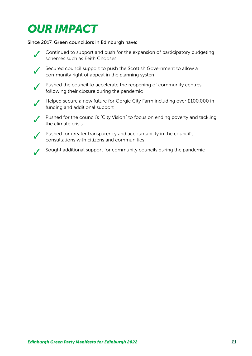### *OUR IMPACT*

Since 2017, Green councillors in Edinburgh have:



Continued to support and push for the expansion of participatory budgeting schemes such as £eith Chooses

Secured council support to push the Scottish Government to allow a community right of appeal in the planning system

◯ Pushed the council to accelerate the reopening of community centres following their closure during the pandemic

✓ Helped secure a new future for Gorgie City Farm including over £100,000 in funding and additional support



Pushed for the council's "City Vision" to focus on ending poverty and tackling the climate crisis

Pushed for greater transparency and accountability in the council's consultations with citizens and communities

✓ Sought additional support for community councils during the pandemic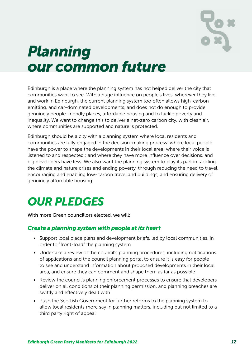

## <span id="page-11-1"></span><span id="page-11-0"></span>*Planning our common future*

Edinburgh is a place where the planning system has not helped deliver the city that communities want to see. With a huge influence on people's lives, wherever they live and work in Edinburgh, the current planning system too often allows high-carbon emitting, and car-dominated developments, and does not do enough to provide genuinely people-friendly places, affordable housing and to tackle poverty and inequality. We want to change this to deliver a net-zero carbon city, with clean air, where communities are supported and nature is protected.

Edinburgh should be a city with a planning system where local residents and communities are fully engaged in the decision-making process: where local people have the power to shape the developments in their local area; where their voice is listened to and respected ; and where they have more influence over decisions, and big developers have less. We also want the planning system to play its part in tackling the climate and nature crises and ending poverty, through reducing the need to travel, encouraging and enabling low-carbon travel and buildings, and ensuring delivery of genuinely affordable housing.

### *OUR PLEDGES*

With more Green councillors elected, we will:

### *Create a planning system with people at its heart*

- Support local place plans and development briefs, led by local communities, in order to "front-load" the planning system
- Undertake a review of the council's planning procedures, including notifications of applications and the council planning portal to ensure it is easy for people to see and understand information about proposed developments in their local area, and ensure they can comment and shape them as far as possible
- Review the council's planning enforcement processes to ensure that developers deliver on all conditions of their planning permission, and planning breaches are swiftly and effectively dealt with
- Push the Scottish Government for further reforms to the planning system to allow local residents more say in planning matters, including but not limited to a third party right of appeal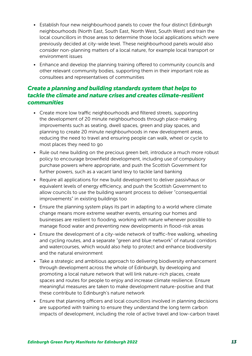- Establish four new neighbourhood panels to cover the four distinct Edinburgh neighbourhoods (North East, South East, North West, South West) and train the local councillors in those areas to determine those local applications which were previously decided at city-wide level. These neighbourhood panels would also consider non-planning matters of a local nature, for example local transport or environment issues
- Enhance and develop the planning training offered to community councils and other relevant community bodies, supporting them in their important role as consultees and representatives of communities

### *Create a planning and building standards system that helps to tackle the climate and nature crises and creates climate-resilient communities*

- Create more low traffic neighbourhoods and filtered streets, supporting the development of 20 minute neighbourhoods through place-making improvements such as seating, dwell spaces, green and play spaces, and planning to create 20 minute neighbourhoods in new development areas, reducing the need to travel and ensuring people can walk, wheel or cycle to most places they need to go
- Rule out new building on the precious green belt, introduce a much more robust policy to encourage brownfield development, including use of compulsory purchase powers where appropriate, and push the Scottish Government for further powers, such as a vacant land levy to tackle land banking
- Require all applications for new build development to deliver passivhaus or equivalent levels of energy efficiency, and push the Scottish Government to allow councils to use the building warrant process to deliver "consequential improvements" in existing buildings too
- Ensure the planning system plays its part in adapting to a world where climate change means more extreme weather events, ensuring our homes and businesses are resilient to flooding, working with nature whenever possible to manage flood water and preventing new developments in flood-risk areas
- Ensure the development of a city-wide network of traffic-free walking, wheeling and cycling routes, and a separate "green and blue network" of natural corridors and watercourses, which would also help to protect and enhance biodiversity and the natural environment
- Take a strategic and ambitious approach to delivering biodiversity enhancement through development across the whole of Edinburgh, by developing and promoting a local nature network that will link nature-rich places, create spaces and routes for people to enjoy and increase climate resilience. Ensure meaningful measures are taken to make development nature-positive and that these contribute to Edinburgh's nature network
- Ensure that planning officers and local councillors involved in planning decisions are supported with training to ensure they understand the long term carbon impacts of development, including the role of active travel and low-carbon travel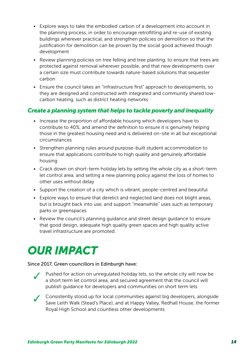- Explore ways to take the embodied carbon of a development into account in the planning process, in order to encourage retrofitting and re-use of existing buildings wherever practical, and strengthen policies on demolition so that the justification for demolition can be proven by the social good achieved though development
- Review planning policies on tree felling and tree planting, to ensure that trees are protected against removal wherever possible, and that new developments over a certain size must contribute towards nature-based solutions that sequester carbon
- Ensure the council takes an "infrastructure first" approach to developments, so they are designed and constructed with integrated and community shared lowcarbon heating, such as district heating networks

### *Create a planning system that helps to tackle poverty and inequality*

- Increase the proportion of affordable housing which developers have to contribute to 40%, and amend the definition to ensure it is genuinely helping those in the greatest housing need and is delivered on-site in all but exceptional circumstances
- Strengthen planning rules around purpose-built student accommodation to ensure that applications contribute to high quality and genuinely affordable housing
- Crack down on short-term holiday lets by setting the whole city as a short-term let control area, and setting a new planning policy against the loss of homes to other uses without delay
- Support the creation of a city which is vibrant, people-centred and beautiful
- Explore ways to ensure that derelict and neglected land does not blight areas, but is brought back into use, and support "meanwhile" uses such as temporary parks or greenspaces
- Review the council's planning guidance and street design guidance to ensure that good design, adequate high quality green spaces and high quality active travel infrastructure are promoted.

### *OUR IMPACT*

#### Since 2017, Green councillors in Edinburgh have:



Pushed for action on unregulated holiday lets, so the whole city will now be a short term let control area, and secured agreement that the council will publish guidance for developers and communities on short term lets

✓ Consistently stood up for local communities against big developers, alongside Save Leith Walk (Stead's Place), and at Happy Valley, Redhall House, the former Royal High School and countless other developments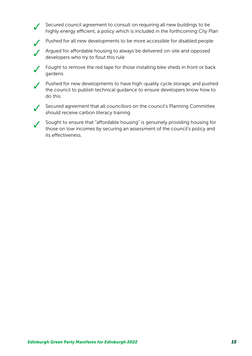Secured council agreement to consult on requiring all new buildings to be highly energy efficient, a policy which is included in the forthcoming City Plan

Pushed for all new developments to be more accessible for disabled people

Argued for affordable housing to always be delivered on-site and opposed developers who try to flout this rule

Fought to remove the red tape for those installing bike sheds in front or back gardens

Pushed for new developments to have high-quality cycle storage, and pushed the council to publish technical guidance to ensure developers know how to do this

Secured agreement that all councillors on the council's Planning Committee should receive carbon literacy training

Sought to ensure that "affordable housing" is genuinely providing housing for those on low incomes by securing an assessment of the council's policy and its effectiveness.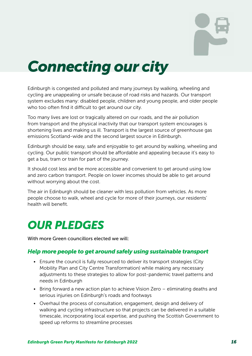

## <span id="page-15-1"></span><span id="page-15-0"></span>*Connecting our city*

Edinburgh is congested and polluted and many journeys by walking, wheeling and cycling are unappealing or unsafe because of road risks and hazards. Our transport system excludes many: disabled people, children and young people, and older people who too often find it difficult to get around our city.

Too many lives are lost or tragically altered on our roads, and the air pollution from transport and the physical inactivity that our transport system encourages is shortening lives and making us ill. Transport is the largest source of greenhouse gas emissions Scotland-wide and the second largest source in Edinburgh.

Edinburgh should be easy, safe and enjoyable to get around by walking, wheeling and cycling. Our public transport should be affordable and appealing because it's easy to get a bus, tram or train for part of the journey.

It should cost less and be more accessible and convenient to get around using low and zero carbon transport. People on lower incomes should be able to get around without worrying about the cost.

The air in Edinburgh should be cleaner with less pollution from vehicles. As more people choose to walk, wheel and cycle for more of their journeys, our residents' health will benefit.

### *OUR PLEDGES*

With more Green councillors elected we will:

#### *Help more people to get around safely using sustainable transport*

- Ensure the council is fully resourced to deliver its transport strategies (City Mobility Plan and City Centre Transformation) while making any necessary adjustments to these strategies to allow for post-pandemic travel patterns and needs in Edinburgh
- Bring forward a new action plan to achieve Vision Zero eliminating deaths and serious injuries on Edinburgh's roads and footways
- Overhaul the process of consultation, engagement, design and delivery of walking and cycling infrastructure so that projects can be delivered in a suitable timescale, incorporating local expertise, and pushing the Scottish Government to speed up reforms to streamline processes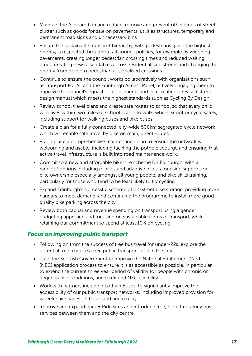- Maintain the A-board ban and reduce, remove and prevent other kinds of street clutter such as goods for sale on pavements, utilities structures, temporary and permanent road signs and unnecessary bins
- Ensure the sustainable transport hierarchy, with pedestrians given the highest priority, is respected throughout all council policies, for example by widening pavements, creating longer pedestrian crossing times and reduced waiting times, creating new raised tables across residential side streets and changing the priority from driver to pedestrian at signalised crossings
- Continue to ensure the council works collaboratively with organisations such as Transport For All and the Edinburgh Access Panel, actively engaging them to improve the council's equalities assessments and in a creating a revised street design manual which meets the highest standards such as Cycling By Design
- Review school travel plans and create safe routes to school so that every child who lives within two miles of school is able to walk, wheel, scoot or cycle safely, including support for walking buses and bike buses
- Create a plan for a fully connected, city-wide 500km segregated cycle network which will enable safe travel by bike on main, direct routes
- Put in place a comprehensive maintenance plan to ensure the network is welcoming and usable, including tackling the pothole scourge and ensuring that active travel infrastructure is built into road maintenance work.
- Commit to a new and affordable bike hire scheme for Edinburgh, with a range of options including e-bikes and adaptive bikes, alongside support for bike ownership especially amongst all young people, and bike skills training, particularly for those who tend to be least likely to try cycling
- Expand Edinburgh's successful scheme of on-street bike storage, providing more hangars to meet demand, and continuing the programme to install more good quality bike parking across the city
- Review both capital and revenue spending on transport using a gender budgeting approach and focusing on sustainable forms of transport, while retaining our commitment to spend at least 10% on cycling

### *Focus on improving public transport*

- Following on from the success of free bus travel for under-22s, explore the potential to introduce a free public transport pilot in the city
- Push the Scottish Government to improve the National Entitlement Card (NEC) application process to ensure it is as accessible as possible, in particular to extend the current three year period of validity for people with chronic or degenerative conditions, and to extend NEC eligibility
- Work with partners including Lothian Buses, to significantly improve the accessibility of our public transport networks, including improved provision for wheelchair spaces on buses and audio relay
- Improve and expand Park & Ride sites and introduce free, high-frequency bus services between them and the city centre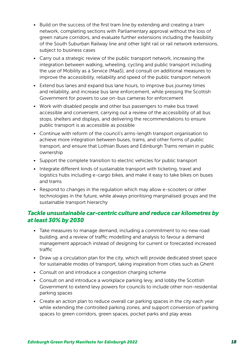- Build on the success of the first tram line by extending and creating a tram network, completing sections with Parliamentary approval without the loss of green nature corridors, and evaluate further extensions including the feasibility of the South Suburban Railway line and other light rail or rail network extensions, subject to business cases
- Carry out a strategic review of the public transport network, increasing the integration between walking, wheeling, cycling and public transport including the use of Mobility as a Service (MaaS), and consult on additional measures to improve the accessibility, reliability and speed of the public transport network
- Extend bus lanes and expand bus lane hours, to improve bus journey times and reliability, and increase bus lane enforcement, while pressing the Scottish Government for powers to use on-bus cameras for enforcement
- Work with disabled people and other bus passengers to make bus travel accessible and convenient, carrying out a review of the accessibility of all bus stops, shelters and displays, and delivering the recommendations to ensure public transport is as accessible as possible
- Continue with reform of the council's arms-length transport organisation to achieve more integration between buses, trams, and other forms of public transport, and ensure that Lothian Buses and Edinburgh Trams remain in public ownership
- Support the complete transition to electric vehicles for public transport
- Integrate different kinds of sustainable transport with ticketing, travel and logistics hubs including e-cargo bikes, and make it easy to take bikes on buses and trams
- Respond to changes in the regulation which may allow e-scooters or other technologies in the future, while always prioritising marginalised groups and the sustainable transport hierarchy

### *Tackle unsustainable car-centric culture and reduce car kilometres by at least 30% by 2030*

- Take measures to manage demand, including a commitment to no new road building, and a review of traffic modelling and analysis to favour a demand management approach instead of designing for current or forecasted increased traffic
- Draw up a circulation plan for the city, which will provide dedicated street space for sustainable modes of transport, taking inspiration from cities such as Ghent
- Consult on and introduce a congestion charging scheme
- Consult on and introduce a workplace parking levy, and lobby the Scottish Government to extend levy powers for councils to include other non-residential parking spaces
- Create an action plan to reduce overall car parking spaces in the city each year while extending the controlled parking zones, and support conversion of parking spaces to green corridors, green spaces, pocket parks and play areas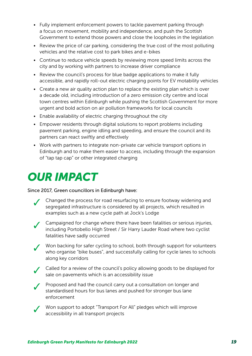- Fully implement enforcement powers to tackle pavement parking through a focus on movement, mobility and independence, and push the Scottish Government to extend those powers and close the loopholes in the legislation
- Review the price of car parking, considering the true cost of the most polluting vehicles and the relative cost to park bikes and e-bikes
- Continue to reduce vehicle speeds by reviewing more speed limits across the city and by working with partners to increase driver compliance
- Review the council's process for blue badge applications to make it fully accessible, and rapidly roll-out electric charging points for EV motability vehicles
- Create a new air quality action plan to replace the existing plan which is over a decade old, including introduction of a zero emission city centre and local town centres within Edinburgh while pushing the Scottish Government for more urgent and bold action on air pollution frameworks for local councils
- Enable availability of electric charging throughout the city
- Empower residents through digital solutions to report problems including pavement parking, engine idling and speeding, and ensure the council and its partners can react swiftly and effectively
- Work with partners to integrate non-private car vehicle transport options in Edinburgh and to make them easier to access, including through the expansion of "tap tap cap" or other integrated charging

### *OUR IMPACT*

#### Since 2017, Green councillors in Edinburgh have:

- Changed the process for road resurfacing to ensure footway widening and segregated infrastructure is considered by all projects, which resulted in examples such as a new cycle path at Jock's Lodge
	- Campaigned for change where there have been fatalities or serious injuries, including Portobello High Street / Sir Harry Lauder Road where two cyclist fatalities have sadly occurred

● Von backing for safer cycling to school, both through support for volunteers who organise "bike buses", and successfully calling for cycle lanes to schools along key corridors



✓ Called for a review of the council's policy allowing goods to be displayed for sale on pavements which is an accessibility issue



Proposed and had the council carry out a consultation on longer and standardised hours for bus lanes and pushed for stronger bus lane enforcement

Won support to adopt "Transport For All" pledges which will improve accessibility in all transport projects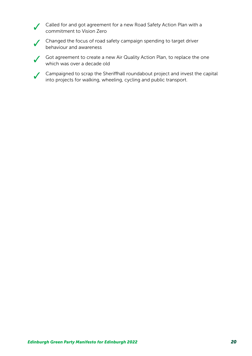Called for and got agreement for a new Road Safety Action Plan with a commitment to Vision Zero



Changed the focus of road safety campaign spending to target driver behaviour and awareness

● Got agreement to create a new Air Quality Action Plan, to replace the one which was over a decade old

✓ Campaigned to scrap the Sheriffhall roundabout project and invest the capital into projects for walking, wheeling, cycling and public transport.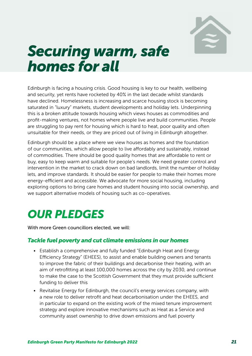

## <span id="page-20-1"></span><span id="page-20-0"></span>*Securing warm, safe homes for all*

Edinburgh is facing a housing crisis. Good housing is key to our health, wellbeing and security, yet rents have rocketed by 40% in the last decade whilst standards have declined. Homelessness is increasing and scarce housing stock is becoming saturated in "luxury" markets, student developments and holiday lets. Underpinning this is a broken attitude towards housing which views houses as commodities and profit-making ventures, not homes where people live and build communities. People are struggling to pay rent for housing which is hard to heat, poor quality and often unsuitable for their needs, or they are priced out of living in Edinburgh altogether.

Edinburgh should be a place where we view houses as homes and the foundation of our communities, which allow people to live affordably and sustainably, instead of commodities. There should be good quality homes that are affordable to rent or buy, easy to keep warm and suitable for people's needs. We need greater control and intervention in the market to crack down on bad landlords, limit the number of holiday lets, and improve standards. It should be easier for people to make their homes more energy-efficient and accessible. We advocate for more social housing, including exploring options to bring care homes and student housing into social ownership, and we support alternative models of housing such as co-operatives.

### *OUR PLEDGES*

With more Green councillors elected, we will:

#### *Tackle fuel poverty and cut climate emissions in our homes*

- Establish a comprehensive and fully funded "Edinburgh Heat and Energy Efficiency Strategy" (EHEES), to assist and enable building owners and tenants to improve the fabric of their buildings and decarbonise their heating, with an aim of retrofitting at least 100,000 homes across the city by 2030, and continue to make the case to the Scottish Government that they must provide sufficient funding to deliver this
- Revitalise Energy for Edinburgh, the council's energy services company, with a new role to deliver retrofit and heat decarbonisation under the EHEES, and in particular to expand on the existing work of the mixed tenure improvement strategy and explore innovative mechanisms such as Heat as a Service and community asset ownership to drive down emissions and fuel poverty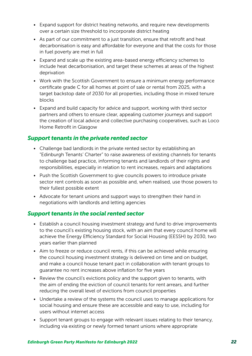- Expand support for district heating networks, and require new developments over a certain size threshold to incorporate district heating
- As part of our commitment to a just transition, ensure that retrofit and heat decarbonisation is easy and affordable for everyone and that the costs for those in fuel poverty are met in full
- Expand and scale up the existing area-based energy efficiency schemes to include heat decarbonisation, and target these schemes at areas of the highest deprivation
- Work with the Scottish Government to ensure a minimum energy performance certificate grade C for all homes at point of sale or rental from 2025, with a target backstop date of 2030 for all properties, including those in mixed tenure blocks
- Expand and build capacity for advice and support, working with third sector partners and others to ensure clear, appealing customer journeys and support the creation of local advice and collective purchasing cooperatives, such as Loco Home Retrofit in Glasgow

### *Support tenants in the private rented sector*

- Challenge bad landlords in the private rented sector by establishing an "Edinburgh Tenants' Charter" to raise awareness of existing channels for tenants to challenge bad practice, informing tenants and landlords of their rights and responsibilities, especially in relation to rent increases, repairs and adaptations
- Push the Scottish Government to give councils powers to introduce private sector rent controls as soon as possible and, when realised, use those powers to their fullest possible extent
- Advocate for tenant unions and support ways to strengthen their hand in negotiations with landlords and letting agencies

### *Support tenants in the social rented sector*

- Establish a council housing investment strategy and fund to drive improvements to the council's existing housing stock, with an aim that every council home will achieve the Energy Efficiency Standard for Social Housing (EESSH) by 2030, two years earlier than planned
- Aim to freeze or reduce council rents, if this can be achieved while ensuring the council housing investment strategy is delivered on time and on budget, and make a council house tenant pact in collaboration with tenant groups to guarantee no rent increases above inflation for five years
- Review the council's evictions policy and the support given to tenants, with the aim of ending the eviction of council tenants for rent arrears, and further reducing the overall level of evictions from council properties
- Undertake a review of the systems the council uses to manage applications for social housing and ensure these are accessible and easy to use, including for users without internet access
- Support tenant groups to engage with relevant issues relating to their tenancy, including via existing or newly formed tenant unions where appropriate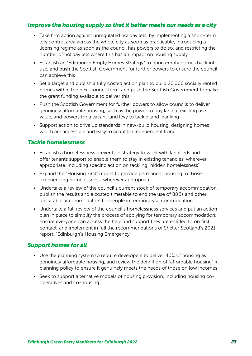### *Improve the housing supply so that it better meets our needs as a city*

- Take firm action against unregulated holiday lets, by implementing a short-term lets control area across the whole city as soon as practicable, introducing a licensing regime as soon as the council has powers to do so, and restricting the number of holiday lets where this has an impact on housing supply
- Establish an "Edinburgh Empty Homes Strategy" to bring empty homes back into use, and push the Scottish Government for further powers to ensure the council can achieve this
- Set a target and publish a fully costed action plan to build 20,000 socially rented homes within the next council term, and push the Scottish Government to make the grant funding available to deliver this
- Push the Scottish Government for further powers to allow councils to deliver genuinely affordable housing, such as the power to buy land at existing use value, and powers for a vacant land levy to tackle land-banking
- Support action to drive up standards in new-build housing, designing homes which are accessible and easy to adapt for independent living

### *Tackle homelessness*

- Establish a homelessness prevention strategy to work with landlords and offer tenants support to enable them to stay in existing tenancies, wherever appropriate, including specific action on tackling "hidden homelessness"
- Expand the "Housing First" model to provide permanent housing to those experiencing homelessness, wherever appropriate
- Undertake a review of the council's current stock of temporary accommodation, publish the results and a costed timetable to end the use of B&Bs and other unsuitable accommodation for people in temporary accommodation
- Undertake a full review of the council's homelessness services and put an action plan in place to simplify the process of applying for temporary accommodation; ensure everyone can access the help and support they are entitled to on first contact, and implement in full the recommendations of Shelter Scotland's 2021 report, "Edinburgh's Housing Emergency"

#### *Support homes for all*

- Use the planning system to require developers to deliver 40% of housing as genuinely affordable housing, and review the definition of "affordable housing" in planning policy to ensure it genuinely meets the needs of those on low incomes
- Seek to support alternative models of housing provision, including housing cooperatives and co-housing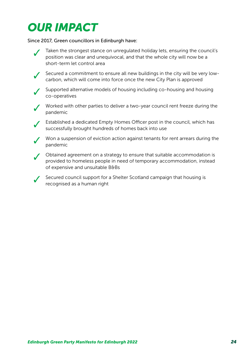### *OUR IMPACT*

Since 2017, Green councillors in Edinburgh have:



Taken the strongest stance on unregulated holiday lets, ensuring the council's position was clear and unequivocal, and that the whole city will now be a short-term let control area

✓ Secured a commitment to ensure all new buildings in the city will be very lowcarbon, which will come into force once the new City Plan is approved



Supported alternative models of housing including co-housing and housing co-operatives



Worked with other parties to deliver a two-year council rent freeze during the pandemic



✓ Established a dedicated Empty Homes Officer post in the council, which has successfully brought hundreds of homes back into use

✓ Won a suspension of eviction action against tenants for rent arrears during the pandemic



✓ Obtained agreement on a strategy to ensure that suitable accommodation is provided to homeless people in need of temporary accommodation, instead of expensive and unsuitable B&Bs

Secured council support for a Shelter Scotland campaign that housing is recognised as a human right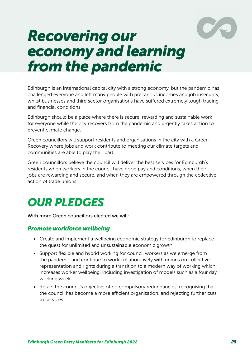

## <span id="page-24-1"></span><span id="page-24-0"></span>*Recovering our economy and learning from the pandemic*

Edinburgh is an international capital city with a strong economy, but the pandemic has challenged everyone and left many people with precarious incomes and job insecurity, whilst businesses and third sector organisations have suffered extremely tough trading and financial conditions.

Edinburgh should be a place where there is secure, rewarding and sustainable work for everyone while the city recovers from the pandemic and urgently takes action to prevent climate change.

Green councillors will support residents and organisations in the city with a Green Recovery where jobs and work contribute to meeting our climate targets and communities are able to play their part.

Green councillors believe the council will deliver the best services for Edinburgh's residents when workers in the council have good pay and conditions, when their jobs are rewarding and secure, and when they are empowered through the collective action of trade unions.

### *OUR PLEDGES*

With more Green councillors elected we will:

#### *Promote workforce wellbeing*

- Create and implement a wellbeing economic strategy for Edinburgh to replace the quest for unlimited and unsustainable economic growth
- Support flexible and hybrid working for council workers as we emerge from the pandemic and continue to work collaboratively with unions on collective representation and rights during a transition to a modern way of working which increases worker wellbeing, including investigation of models such as a four day working week
- Retain the council's objective of no compulsory redundancies, recognising that the council has become a more efficient organisation, and rejecting further cuts to services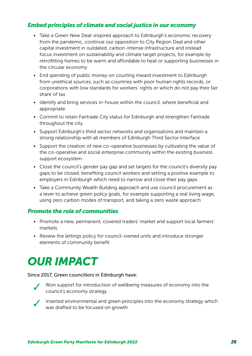### *Embed principles of climate and social justice in our economy*

- Take a Green New Deal-inspired approach to Edinburgh's economic recovery from the pandemic, continue our opposition to City Region Deal and other capital investment in outdated, carbon-intense infrastructure and instead focus investment on sustainability and climate target projects, for example by retrofitting homes to be warm and affordable to heat or supporting businesses in the circular economy
- End spending of public money on courting inward investment to Edinburgh from unethical sources, such as countries with poor human rights records, or corporations with low standards for workers' rights or which do not pay their fair share of tax
- Identify and bring services in-house within the council, where beneficial and appropriate
- Commit to retain Fairtrade City status for Edinburgh and strengthen Fairtrade throughout the city
- Support Edinburgh's third sector networks and organisations and maintain a strong relationship with all members of Edinburgh Third Sector Interface
- Support the creation of new co-operative businesses by cultivating the value of the co-operative and social enterprise community within the existing business support ecosystem
- Close the council's gender pay gap and set targets for the council's diversity pay gaps to be closed, benefiting council workers and setting a positive example to employers in Edinburgh which need to narrow and close their pay gaps
- Take a Community Wealth Building approach and use council procurement as a lever to achieve green policy goals, for example supporting a real living wage, using zero carbon modes of transport, and taking a zero waste approach

### *Promote the role of communities*

- Promote a new, permanent, covered traders' market and support local farmers' markets
- Review the lettings policy for council-owned units and introduce stronger elements of community benefit

### *OUR IMPACT*

#### Since 2017, Green councillors in Edinburgh have:



Won support for introduction of wellbeing measures of economy into the council's economy strategy



✓ Inserted environmental and green principles into the economy strategy which was drafted to be focused on growth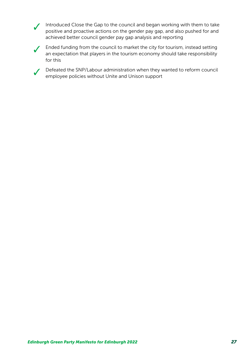● Introduced Close the Gap to the council and began working with them to take positive and proactive actions on the gender pay gap, and also pushed for and achieved better council gender pay gap analysis and reporting



✓ Ended funding from the council to market the city for tourism, instead setting an expectation that players in the tourism economy should take responsibility for this

Defeated the SNP/Labour administration when they wanted to reform council employee policies without Unite and Unison support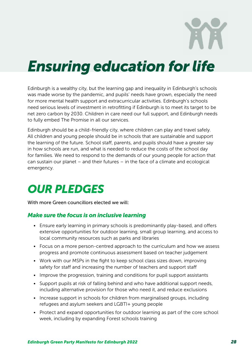## <span id="page-27-1"></span><span id="page-27-0"></span>*Ensuring education for life*

Edinburgh is a wealthy city, but the learning gap and inequality in Edinburgh's schools was made worse by the pandemic, and pupils' needs have grown, especially the need for more mental health support and extracurricular activities. Edinburgh's schools need serious levels of investment in retrofitting if Edinburgh is to meet its target to be net zero carbon by 2030. Children in care need our full support, and Edinburgh needs to fully embed The Promise in all our services.

Edinburgh should be a child-friendly city, where children can play and travel safely. All children and young people should be in schools that are sustainable and support the learning of the future. School staff, parents, and pupils should have a greater say in how schools are run, and what is needed to reduce the costs of the school day for families. We need to respond to the demands of our young people for action that can sustain our planet – and their futures – in the face of a climate and ecological emergency.

### *OUR PLEDGES*

With more Green councillors elected we will:

### *Make sure the focus is on inclusive learning*

- Ensure early learning in primary schools is predominantly play-based, and offers extensive opportunities for outdoor learning, small group learning, and access to local community resources such as parks and libraries
- Focus on a more person-centred approach to the curriculum and how we assess progress and promote continuous assessment based on teacher judgement
- Work with our MSPs in the fight to keep school class sizes down, improving safety for staff and increasing the number of teachers and support staff
- Improve the progression, training and conditions for pupil support assistants
- Support pupils at risk of falling behind and who have additional support needs, including alternative provision for those who need it, and reduce exclusions
- Increase support in schools for children from marginalised groups, including refugees and asylum seekers and LGBTI+ young people
- Protect and expand opportunities for outdoor learning as part of the core school week, including by expanding Forest schools training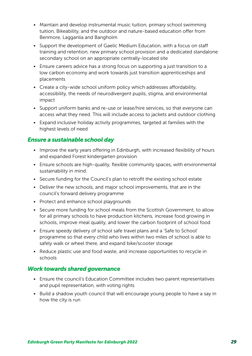- Maintain and develop instrumental music tuition, primary school swimming tuition, Bikeability, and the outdoor and nature-based education offer from Benmore, Lagganlia and Bangholm
- Support the development of Gaelic Medium Education, with a focus on staff training and retention, new primary school provision and a dedicated standalone secondary school on an appropriate centrally-located site
- Ensure careers advice has a strong focus on supporting a just transition to a low carbon economy and work towards just transition apprenticeships and placements
- Create a city-wide school uniform policy which addresses affordability, accessibility, the needs of neurodivergent pupils, stigma, and environmental impact
- Support uniform banks and re-use or lease/hire services, so that everyone can access what they need. This will include access to jackets and outdoor clothing
- Expand inclusive holiday activity programmes, targeted at families with the highest levels of need

### *Ensure a sustainable school day*

- Improve the early years offering in Edinburgh, with increased flexibility of hours and expanded Forest kindergarten provision
- Ensure schools are high-quality, flexible community spaces, with environmental sustainability in mind.
- Secure funding for the Council's plan to retrofit the existing school estate
- Deliver the new schools, and major school improvements, that are in the council's forward delivery programme
- Protect and enhance school playgrounds
- Secure more funding for school meals from the Scottish Government, to allow for all primary schools to have production kitchens, increase food growing in schools, improve meal quality, and lower the carbon footprint of school food
- Ensure speedy delivery of school safe travel plans and a 'Safe to School' programme so that every child who lives within two miles of school is able to safely walk or wheel there, and expand bike/scooter storage
- Reduce plastic use and food waste, and increase opportunities to recycle in schools

### *Work towards shared governance*

- Ensure the council's Education Committee includes two parent representatives and pupil representation, with voting rights
- Build a shadow youth council that will encourage young people to have a say in how the city is run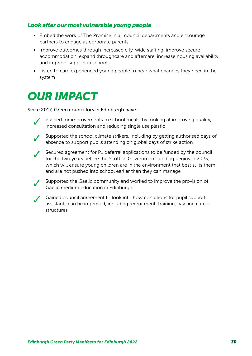### *Look after our most vulnerable young people*

- Embed the work of The Promise in all council departments and encourage partners to engage as corporate parents
- Improve outcomes through increased city-wide staffing, improve secure accommodation, expand throughcare and aftercare, increase housing availability, and improve support in schools
- Listen to care experienced young people to hear what changes they need in the system

### *OUR IMPACT*

#### Since 2017, Green councillors in Edinburgh have:

- Pushed for improvements to school meals, by looking at improving quality, increased consultation and reducing single use plastic
- Supported the school climate strikers, including by getting authorised days of absence to support pupils attending on global days of strike action
- 

✓ Secured agreement for P1 deferral applications to be funded by the council for the two years before the Scottish Government funding begins in 2023, which will ensure young children are in the environment that best suits them, and are not pushed into school earlier than they can manage

✓ Supported the Gaelic community and worked to improve the provision of Gaelic medium education in Edinburgh

✓ Gained council agreement to look into how conditions for pupil support assistants can be improved, including recruitment, training, pay and career structures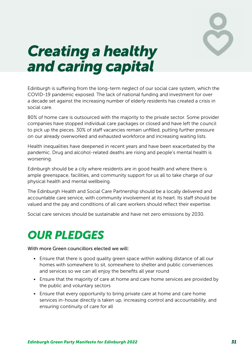

## <span id="page-30-1"></span><span id="page-30-0"></span>*Creating a healthy and caring capital*

Edinburgh is suffering from the long-term neglect of our social care system, which the COVID-19 pandemic exposed. The lack of national funding and investment for over a decade set against the increasing number of elderly residents has created a crisis in social care.

80% of home care is outsourced with the majority to the private sector. Some provider companies have stopped individual care packages or closed and have left the council to pick up the pieces. 30% of staff vacancies remain unfilled, putting further pressure on our already overworked and exhausted workforce and increasing waiting lists.

Health inequalities have deepened in recent years and have been exacerbated by the pandemic. Drug and alcohol-related deaths are rising and people's mental health is worsening.

Edinburgh should be a city where residents are in good health and where there is ample greenspace, facilities, and community support for us all to take charge of our physical health and mental wellbeing.

The Edinburgh Health and Social Care Partnership should be a locally delivered and accountable care service, with community involvement at its heart. Its staff should be valued and the pay and conditions of all care workers should reflect their expertise.

Social care services should be sustainable and have net zero emissions by 2030.

### *OUR PLEDGES*

With more Green councillors elected we will:

- Ensure that there is good quality green space within walking distance of all our homes with somewhere to sit, somewhere to shelter and public conveniences and services so we can all enjoy the benefits all year round
- Ensure that the majority of care at home and care home services are provided by the public and voluntary sectors
- Ensure that every opportunity to bring private care at home and care home services in-house directly is taken up, increasing control and accountability, and ensuring continuity of care for all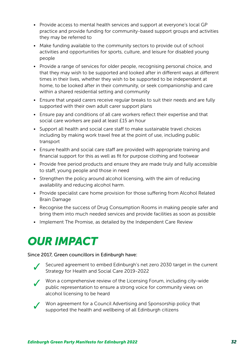- Provide access to mental health services and support at everyone's local GP practice and provide funding for community-based support groups and activities they may be referred to
- Make funding available to the community sectors to provide out of school activities and opportunities for sports, culture, and leisure for disabled young people
- Provide a range of services for older people, recognising personal choice, and that they may wish to be supported and looked after in different ways at different times in their lives, whether they wish to be supported to be independent at home, to be looked after in their community, or seek companionship and care within a shared residential setting and community
- Ensure that unpaid carers receive regular breaks to suit their needs and are fully supported with their own adult carer support plans
- Ensure pay and conditions of all care workers reflect their expertise and that social care workers are paid at least £15 an hour
- Support all health and social care staff to make sustainable travel choices including by making work travel free at the point of use, including public transport
- Ensure health and social care staff are provided with appropriate training and financial support for this as well as fit for purpose clothing and footwear
- Provide free period products and ensure they are made truly and fully accessible to staff, young people and those in need
- Strengthen the policy around alcohol licensing, with the aim of reducing availability and reducing alcohol harm.
- Provide specialist care home provision for those suffering from Alcohol Related Brain Damage
- Recognise the success of Drug Consumption Rooms in making people safer and bring them into much needed services and provide facilities as soon as possible
- Implement The Promise, as detailed by the Independent Care Review

### *OUR IMPACT*

#### Since 2017, Green councillors in Edinburgh have:



Secured agreement to embed Edinburgh's net zero 2030 target in the current Strategy for Health and Social Care 2019-2022



✓ Won a comprehensive review of the Licensing Forum, including city-wide public representation to ensure a strong voice for community views on alcohol licensing to be heard



Won agreement for a Council Advertising and Sponsorship policy that supported the health and wellbeing of all Edinburgh citizens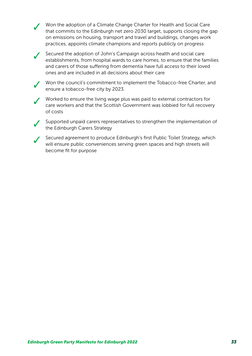✓ Won the adoption of a Climate Change Charter for Health and Social Care that commits to the Edinburgh net zero 2030 target, supports closing the gap on emissions on housing, transport and travel and buildings, changes work practices, appoints climate champions and reports publicly on progress

✓ Secured the adoption of John's Campaign across health and social care establishments, from hospital wards to care homes, to ensure that the families and carers of those suffering from dementia have full access to their loved ones and are included in all decisions about their care

✓ Won the council's commitment to implement the Tobacco-free Charter, and ensure a tobacco-free city by 2023.

✓ Worked to ensure the living wage plus was paid to external contractors for care workers and that the Scottish Government was lobbied for full recovery of costs

✓ Supported unpaid carers representatives to strengthen the implementation of the Edinburgh Carers Strategy

✓ Secured agreement to produce Edinburgh's first Public Toilet Strategy, which will ensure public conveniences serving green spaces and high streets will become fit for purpose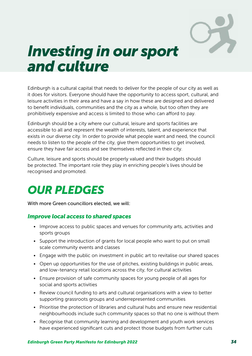

## <span id="page-33-1"></span><span id="page-33-0"></span>*Investing in our sport and culture*

Edinburgh is a cultural capital that needs to deliver for the people of our city as well as it does for visitors. Everyone should have the opportunity to access sport, cultural, and leisure activities in their area and have a say in how these are designed and delivered to benefit individuals, communities and the city as a whole, but too often they are prohibitively expensive and access is limited to those who can afford to pay.

Edinburgh should be a city where our cultural, leisure and sports facilities are accessible to all and represent the wealth of interests, talent, and experience that exists in our diverse city. In order to provide what people want and need, the council needs to listen to the people of the city, give them opportunities to get involved, ensure they have fair access and see themselves reflected in their city.

Culture, leisure and sports should be properly valued and their budgets should be protected. The important role they play in enriching people's lives should be recognised and promoted.

### *OUR PLEDGES*

With more Green councillors elected, we will:

#### *Improve local access to shared spaces*

- Improve access to public spaces and venues for community arts, activities and sports groups
- Support the introduction of grants for local people who want to put on small scale community events and classes
- Engage with the public on investment in public art to revitalise our shared spaces
- Open up opportunities for the use of pitches, existing buildings in public areas, and low-tenancy retail locations across the city, for cultural activities
- Ensure provision of safe community spaces for young people of all ages for social and sports activities
- Review council funding to arts and cultural organisations with a view to better supporting grassroots groups and underrepresented communities
- Prioritise the protection of libraries and cultural hubs and ensure new residential neighbourhoods include such community spaces so that no one is without them
- Recognise that community learning and development and youth work services have experienced significant cuts and protect those budgets from further cuts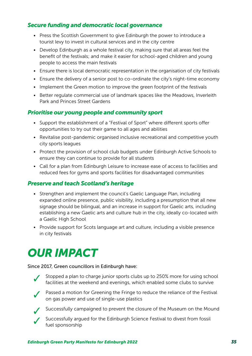### *Secure funding and democratic local governance*

- Press the Scottish Government to give Edinburgh the power to introduce a tourist levy to invest in cultural services and in the city centre
- Develop Edinburgh as a whole festival city, making sure that all areas feel the benefit of the festivals; and make it easier for school-aged children and young people to access the main festivals
- Ensure there is local democratic representation in the organisation of city festivals
- Ensure the delivery of a senior post to co-ordinate the city's night-time economy
- Implement the Green motion to improve the green footprint of the festivals
- Better regulate commercial use of landmark spaces like the Meadows, Inverleith Park and Princes Street Gardens

### *Prioritise our young people and community sport*

- Support the establishment of a "Festival of Sport" where different sports offer opportunities to try out their game to all ages and abilities
- Revitalise post-pandemic organised inclusive recreational and competitive youth city sports leagues
- Protect the provision of school club budgets under Edinburgh Active Schools to ensure they can continue to provide for all students
- Call for a plan from Edinburgh Leisure to increase ease of access to facilities and reduced fees for gyms and sports facilities for disadvantaged communities

#### *Preserve and teach Scotland's heritage*

- Strengthen and implement the council's Gaelic Language Plan, including expanded online presence, public visibility, including a presumption that all new signage should be bilingual, and an increase in support for Gaelic arts, including establishing a new Gaelic arts and culture hub in the city, ideally co-located with a Gaelic High School
- Provide support for Scots language art and culture, including a visible presence in city festivals

### *OUR IMPACT*

#### Since 2017, Green councillors in Edinburgh have:



Stopped a plan to charge junior sports clubs up to 250% more for using school facilities at the weekend and evenings, which enabled some clubs to survive



Passed a motion for Greening the Fringe to reduce the reliance of the Festival on gas power and use of single-use plastics



■ Successfully campaigned to prevent the closure of the Museum on the Mound



Successfully argued for the Edinburgh Science Festival to divest from fossil fuel sponsorship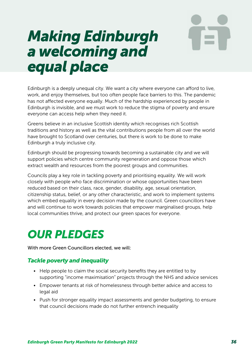## <span id="page-35-1"></span><span id="page-35-0"></span>*Making Edinburgh a welcoming and equal place*

Edinburgh is a deeply unequal city. We want a city where everyone can afford to live, work, and enjoy themselves, but too often people face barriers to this. The pandemic has not affected everyone equally. Much of the hardship experienced by people in Edinburgh is invisible, and we must work to reduce the stigma of poverty and ensure everyone can access help when they need it.

Greens believe in an inclusive Scottish identity which recognises rich Scottish traditions and history as well as the vital contributions people from all over the world have brought to Scotland over centuries, but there is work to be done to make Edinburgh a truly inclusive city.

Edinburgh should be progressing towards becoming a sustainable city and we will support policies which centre community regeneration and oppose those which extract wealth and resources from the poorest groups and communities.

Councils play a key role in tackling poverty and prioritising equality. We will work closely with people who face discrimination or whose opportunities have been reduced based on their class, race, gender, disability, age, sexual orientation, citizenship status, belief, or any other characteristic, and work to implement systems which embed equality in every decision made by the council. Green councillors have and will continue to work towards policies that empower marginalised groups, help local communities thrive, and protect our green spaces for everyone.

### *OUR PLEDGES*

With more Green Councillors elected, we will:

### *Tackle poverty and inequality*

- Help people to claim the social security benefits they are entitled to by supporting "income maximisation" projects through the NHS and advice services
- Empower tenants at risk of homelessness through better advice and access to legal aid
- Push for stronger equality impact assessments and gender budgeting, to ensure that council decisions made do not further entrench inequality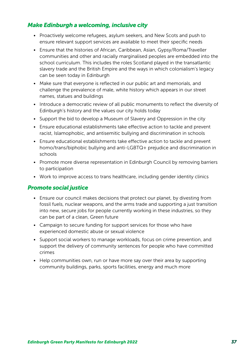### *Make Edinburgh a welcoming, inclusive city*

- Proactively welcome refugees, asylum seekers, and New Scots and push to ensure relevant support services are available to meet their specific needs
- Ensure that the histories of African, Caribbean, Asian, Gypsy/Roma/Traveller communities and other and racially marginalised peoples are embedded into the school curriculum. This includes the roles Scotland played in the transatlantic slavery trade and the British Empire and the ways in which colonialism's legacy can be seen today in Edinburgh
- Make sure that everyone is reflected in our public art and memorials, and challenge the prevalence of male, white history which appears in our street names, statues and buildings
- Introduce a democratic review of all public monuments to reflect the diversity of Edinburgh's history and the values our city holds today
- Support the bid to develop a Museum of Slavery and Oppression in the city
- Ensure educational establishments take effective action to tackle and prevent racist, Islamophobic, and antisemitic bullying and discrimination in schools
- Ensure educational establishments take effective action to tackle and prevent homo/trans/biphobic bullying and anti-LGBTQ+ prejudice and discrimination in schools
- Promote more diverse representation in Edinburgh Council by removing barriers to participation
- Work to improve access to trans healthcare, including gender identity clinics

#### *Promote social justice*

- Ensure our council makes decisions that protect our planet, by divesting from fossil fuels, nuclear weapons, and the arms trade and supporting a just transition into new, secure jobs for people currently working in these industries, so they can be part of a clean, Green future
- Campaign to secure funding for support services for those who have experienced domestic abuse or sexual violence
- Support social workers to manage workloads, focus on crime prevention, and support the delivery of community sentences for people who have committed crimes
- Help communities own, run or have more say over their area by supporting community buildings, parks, sports facilities, energy and much more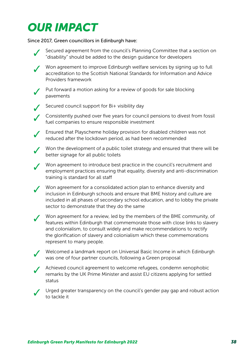### *OUR IMPACT*

Since 2017, Green councillors in Edinburgh have:



Secured agreement from the council's Planning Committee that a section on "disability" should be added to the design guidance for developers

Won agreement to improve Edinburgh welfare services by signing up to full accreditation to the Scottish National Standards for Information and Advice Providers framework

Put forward a motion asking for a review of goods for sale blocking pavements



✓ Secured council support for Bi+ visibility day

✓ Consistently pushed over five years for council pensions to divest from fossil fuel companies to ensure responsible investment

Ensured that Playscheme holiday provision for disabled children was not reduced after the lockdown period, as had been recommended

✓ Won the development of a public toilet strategy and ensured that there will be better signage for all public toilets

Won agreement to introduce best practice in the council's recruitment and employment practices ensuring that equality, diversity and anti-discrimination training is standard for all staff

Won agreement for a consolidated action plan to enhance diversity and inclusion in Edinburgh schools and ensure that BME history and culture are included in all phases of secondary school education, and to lobby the private sector to demonstrate that they do the same

Won agreement for a review, led by the members of the BME community, of features within Edinburgh that commemorate those with close links to slavery and colonialism, to consult widely and make recommendations to rectify the glorification of slavery and colonialism which these commemorations represent to many people.

Welcomed a landmark report on Universal Basic Income in which Edinburgh was one of four partner councils, following a Green proposal

Achieved council agreement to welcome refugees, condemn xenophobic remarks by the UK Prime Minister and assist EU citizens applying for settled status

Urged greater transparency on the council's gender pay gap and robust action to tackle it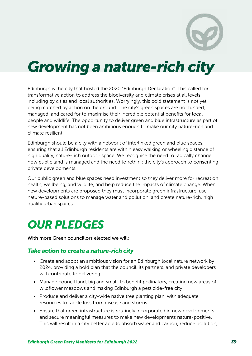## <span id="page-38-1"></span><span id="page-38-0"></span>*Growing a nature-rich city*

Edinburgh is the city that hosted the 2020 "Edinburgh Declaration". This called for transformative action to address the biodiversity and climate crises at all levels, including by cities and local authorities. Worryingly, this bold statement is not yet being matched by action on the ground. The city's green spaces are not funded, managed, and cared for to maximise their incredible potential benefits for local people and wildlife. The opportunity to deliver green and blue infrastructure as part of new development has not been ambitious enough to make our city nature-rich and climate resilient.

Edinburgh should be a city with a network of interlinked green and blue spaces, ensuring that all Edinburgh residents are within easy walking or wheeling distance of high quality, nature-rich outdoor space. We recognise the need to radically change how public land is managed and the need to rethink the city's approach to consenting private developments.

Our public green and blue spaces need investment so they deliver more for recreation, health, wellbeing, and wildlife, and help reduce the impacts of climate change. When new developments are proposed they must incorporate green infrastructure, use nature-based solutions to manage water and pollution, and create nature-rich, high quality urban spaces.

### *OUR PLEDGES*

With more Green councillors elected we will:

#### *Take action to create a nature-rich city*

- Create and adopt an ambitious vision for an Edinburgh local nature network by 2024, providing a bold plan that the council, its partners, and private developers will contribute to delivering
- Manage council land, big and small, to benefit pollinators, creating new areas of wildflower meadows and making Edinburgh a pesticide-free city
- Produce and deliver a city-wide native tree planting plan, with adequate resources to tackle loss from disease and storms
- Ensure that green infrastructure is routinely incorporated in new developments and secure meaningful measures to make new developments nature-positive. This will result in a city better able to absorb water and carbon, reduce pollution,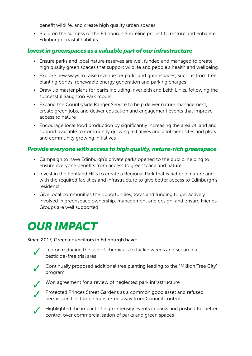benefit wildlife, and create high quality urban spaces

• Build on the success of the Edinburgh Shoreline project to restore and enhance Edinburgh coastal habitats

### *Invest in greenspaces as a valuable part of our infrastructure*

- Ensure parks and local nature reserves are well funded and managed to create high quality green spaces that support wildlife and people's health and wellbeing
- Explore new ways to raise revenue for parks and greenspaces, such as from tree planting bonds, renewable energy generation and parking charges
- Draw up master plans for parks including Inverleith and Leith Links, following the successful Saughton Park model
- Expand the Countryside Ranger Service to help deliver nature management, create green jobs, and deliver education and engagement events that improve access to nature
- Encourage local food production by significantly increasing the area of land and support available to community growing initiatives and allotment sites and plots and community growing initiatives

### *Provide everyone with access to high quality, nature-rich greenspace*

- Campaign to have Edinburgh's private parks opened to the public, helping to ensure everyone benefits from access to greenspace and nature
- Invest in the Pentland Hills to create a Regional Park that is richer in nature and with the required facilities and infrastructure to give better access to Edinburgh's residents
- Give local communities the opportunities, tools and funding to get actively involved in greenspace ownership, management and design, and ensure Friends Groups are well supported

### *OUR IMPACT*

#### Since 2017, Green councillors in Edinburgh have:

- Led on reducing the use of chemicals to tackle weeds and secured a pesticide-free trial area
- Continually proposed additional tree planting leading to the "Million Tree City" program
- 
- ✓ Won agreement for a review of neglected park infrastructure



◆ Protected Princes Street Gardens as a common good asset and refused permission for it to be transferred away from Council control

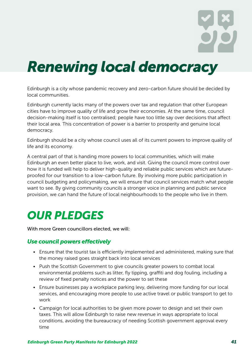## <span id="page-40-1"></span><span id="page-40-0"></span>*Renewing local democracy*

Edinburgh is a city whose pandemic recovery and zero-carbon future should be decided by local communities.

Edinburgh currently lacks many of the powers over tax and regulation that other European cities have to improve quality of life and grow their economies. At the same time, council decision-making itself is too centralised; people have too little say over decisions that affect their local area. This concentration of power is a barrier to prosperity and genuine local democracy.

Edinburgh should be a city whose council uses all of its current powers to improve quality of life and its economy.

A central part of that is handing more powers to local communities, which will make Edinburgh an even better place to live, work, and visit. Giving the council more control over how it is funded will help to deliver high-quality and reliable public services which are futureproofed for our transition to a low-carbon future. By involving more public participation in council budgeting and policymaking, we will ensure that council services match what people want to see. By giving community councils a stronger voice in planning and public service provision, we can hand the future of local neighbourhoods to the people who live in them.

### *OUR PLEDGES*

With more Green councillors elected, we will:

#### *Use council powers effectively*

- Ensure that the tourist tax is efficiently implemented and administered, making sure that the money raised goes straight back into local services
- Push the Scottish Government to give councils greater powers to combat local environmental problems such as litter, fly tipping, graffiti and dog fouling, including a review of fixed penalty notices and the power to set these
- Ensure businesses pay a workplace parking levy, delivering more funding for our local services, and encouraging more people to use active travel or public transport to get to work
- Campaign for local authorities to be given more power to design and set their own taxes. This will allow Edinburgh to raise new revenue in ways appropriate to local conditions, avoiding the bureaucracy of needing Scottish government approval every time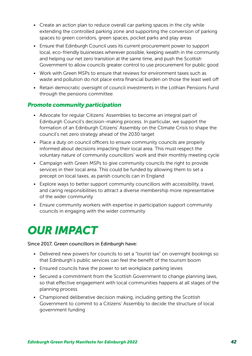- Create an action plan to reduce overall car parking spaces in the city while extending the controlled parking zone and supporting the conversion of parking spaces to green corridors, green spaces, pocket parks and play areas
- Ensure that Edinburgh Council uses its current procurement power to support local, eco-friendly businesses wherever possible, keeping wealth in the community and helping our net zero transition at the same time, and push the Scottish Government to allow councils greater control to use procurement for public good
- Work with Green MSPs to ensure that reviews for environment taxes such as waste and pollution do not place extra financial burden on those the least well off
- Retain democratic oversight of council investments in the Lothian Pensions Fund through the pensions committee

### *Promote community participation*

- Advocate for regular Citizens' Assemblies to become an integral part of Edinburgh Council's decision-making process. In particular, we support the formation of an Edinburgh Citizens' Assembly on the Climate Crisis to shape the council's net zero strategy ahead of the 2030 target
- Place a duty on council officers to ensure community councils are properly informed about decisions impacting their local area. This must respect the voluntary nature of community councillors' work and their monthly meeting cycle
- Campaign with Green MSPs to give community councils the right to provide services in their local area. This could be funded by allowing them to set a precept on local taxes, as parish councils can in England
- Explore ways to better support community councillors with accessibility, travel, and caring responsibilities to attract a diverse membership more representative of the wider community
- Ensure community workers with expertise in participation support community councils in engaging with the wider community

### *OUR IMPACT*

#### Since 2017, Green councillors in Edinburgh have:

- Delivered new powers for councils to set a "tourist tax" on overnight bookings so that Edinburgh's public services can feel the benefit of the tourism boom
- Ensured councils have the power to set workplace parking levies
- Secured a commitment from the Scottish Government to change planning laws, so that effective engagement with local communities happens at all stages of the planning process
- Championed deliberative decision making, including getting the Scottish Government to commit to a Citizens' Assembly to decide the structure of local government funding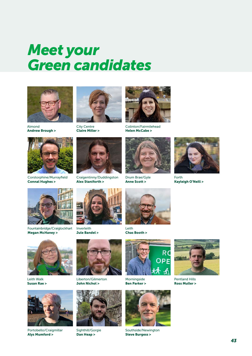## <span id="page-42-0"></span>*Meet your Green candidates*







Corstorphine/Murrayfield [Connal Hughes >](https://www.edinburghgreens.org.uk/people/connal-hughes/)



City Centre [Claire Miller >](https://www.edinburghgreens.org.uk/people/claire-miller/)



Craigentinny/Duddingston [Alex Staniforth >](https://www.edinburghgreens.org.uk/people/alex-staniforth/)



Colinton/Fairmilehead [Helen McCabe >](https://www.edinburghgreens.org.uk/people/helen-mccabe/)



Drum Brae/Gyle [Anne Scott >](https://www.edinburghgreens.org.uk/people/anne-scott/)



Forth [Kayleigh O'Neill >](https://www.edinburghgreens.org.uk/people/kayleigh-oneill/)



Fountainbridge/Craiglockhart [Megan McHaney >](https://www.edinburghgreens.org.uk/people/megan-mchaney/)



Inverleith [Jule Bandel >](https://www.edinburghgreens.org.uk/people/jule-bandel/)



[Chas Booth >](https://www.edinburghgreens.org.uk/people/chas-booth/)



Leith Walk [Susan Rae >](https://www.edinburghgreens.org.uk/people/susan-rae/)



Portobello/Craigmillar [Alys Mumford >](https://www.edinburghgreens.org.uk/people/alys-mumford/)



Liberton/Gilmerton [John Nichol >](https://www.edinburghgreens.org.uk/people/john-nichol/)



Sighthill/Gorgie [Dan Heap >](https://www.edinburghgreens.org.uk/people/dan-heap/)



Morningside [Ben Parker >](https://www.edinburghgreens.org.uk/people/ben-parker/)



Southside/Newington [Steve Burgess >](https://www.edinburghgreens.org.uk/people/steve-burgess/)



Pentland Hills [Ross Muller >](https://www.edinburghgreens.org.uk/people/ross-muller/)